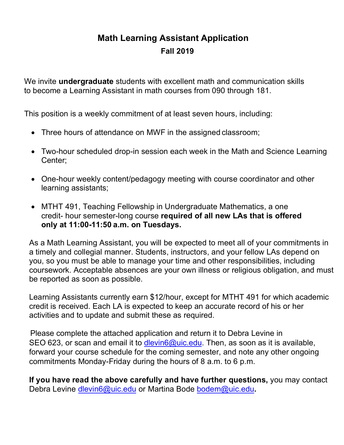## **Math Learning Assistant Application Fall 2019**

We invite **undergraduate** students with excellent math and communication skills to become a Learning Assistant in math courses from 090 through 181.

This position is a weekly commitment of at least seven hours, including:

- Three hours of attendance on MWF in the assigned classroom;
- Two-hour scheduled drop-in session each week in the Math and Science Learning Center;
- One-hour weekly content/pedagogy meeting with course coordinator and other learning assistants;
- MTHT 491, Teaching Fellowship in Undergraduate Mathematics, a one credit- hour semester-long course **required of all new LAs that is offered only at 11:00-11:50 a.m. on Tuesdays.**

As a Math Learning Assistant, you will be expected to meet all of your commitments in a timely and collegial manner. Students, instructors, and your fellow LAs depend on you, so you must be able to manage your time and other responsibilities, including coursework. Acceptable absences are your own illness or religious obligation, and must be reported as soon as possible.

Learning Assistants currently earn \$12/hour, except for MTHT 491 for which academic credit is received. Each LA is expected to keep an accurate record of his or her activities and to update and submit these as required.

Please complete the attached application and return it to Debra Levine in SEO 623, or scan and email it to dlevin6@uic.ed[u. Then, as soon](mailto:dlevin6@uic.edu) as it is available, forward your course schedule for the coming semester, and note any other ongoing commitments Monday-Friday during the hours of 8 a.m. to 6 p.m.

**If you have read the above carefully and have further questions,** you may contact Debra Levine dlevin6@uic.edu or [Martina](mailto:dlevin6@uic.edu) Bode bodem@uic.edu**[.](mailto:bodem@uic.edu)**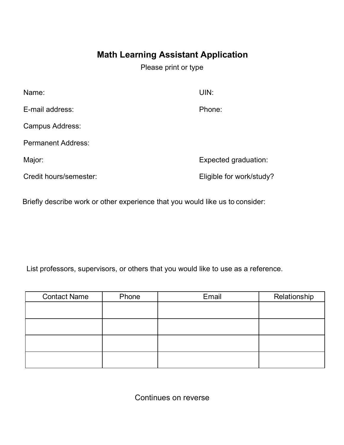## **Math Learning Assistant Application**

Please print or type

| Name:                     | UIN:                     |
|---------------------------|--------------------------|
| E-mail address:           | Phone:                   |
| Campus Address:           |                          |
| <b>Permanent Address:</b> |                          |
| Major:                    | Expected graduation:     |
| Credit hours/semester:    | Eligible for work/study? |
|                           |                          |

Briefly describe work or other experience that you would like us to consider:

List professors, supervisors, or others that you would like to use as a reference.

| <b>Contact Name</b> | Phone | Email | Relationship |
|---------------------|-------|-------|--------------|
|                     |       |       |              |
|                     |       |       |              |
|                     |       |       |              |
|                     |       |       |              |
|                     |       |       |              |
|                     |       |       |              |
|                     |       |       |              |

Continues on reverse